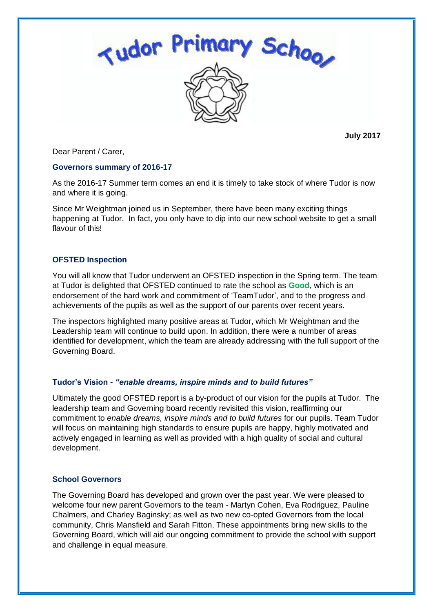

**July 2017**

Dear Parent / Carer,

### **Governors summary of 2016-17**

As the 2016-17 Summer term comes an end it is timely to take stock of where Tudor is now and where it is going.

Since Mr Weightman joined us in September, there have been many exciting things happening at Tudor. In fact, you only have to dip into our new school website to get a small flavour of this!

# **OFSTED Inspection**

You will all know that Tudor underwent an OFSTED inspection in the Spring term. The team at Tudor is delighted that OFSTED continued to rate the school as **Good**, which is an endorsement of the hard work and commitment of 'TeamTudor', and to the progress and achievements of the pupils as well as the support of our parents over recent years.

The inspectors highlighted many positive areas at Tudor, which Mr Weightman and the Leadership team will continue to build upon. In addition, there were a number of areas identified for development, which the team are already addressing with the full support of the Governing Board.

# **Tudor's Vision -** *"enable dreams, inspire minds and to build futures"*

Ultimately the good OFSTED report is a by-product of our vision for the pupils at Tudor. The leadership team and Governing board recently revisited this vision, reaffirming our commitment to *enable dreams, inspire minds and to build futures* for our pupils. Team Tudor will focus on maintaining high standards to ensure pupils are happy, highly motivated and actively engaged in learning as well as provided with a high quality of social and cultural development.

# **School Governors**

The Governing Board has developed and grown over the past year. We were pleased to welcome four new parent Governors to the team - Martyn Cohen, Eva Rodriguez, Pauline Chalmers, and Charley Baginsky; as well as two new co-opted Governors from the local community, Chris Mansfield and Sarah Fitton. These appointments bring new skills to the Governing Board, which will aid our ongoing commitment to provide the school with support and challenge in equal measure.